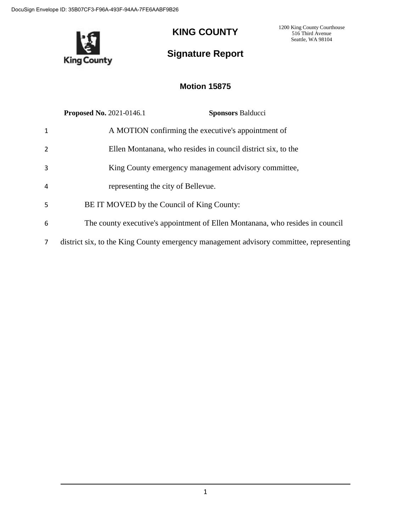

# **KING COUNTY**

1200 King County Courthouse 516 Third Avenue Seattle, WA 98104

# **Signature Report**

## **Motion 15875**

|                | <b>Proposed No. 2021-0146.1</b>                                                        | <b>Sponsors Balducci</b> |
|----------------|----------------------------------------------------------------------------------------|--------------------------|
| $\mathbf{1}$   | A MOTION confirming the executive's appointment of                                     |                          |
| $\overline{2}$ | Ellen Montanana, who resides in council district six, to the                           |                          |
| 3              | King County emergency management advisory committee,                                   |                          |
| $\overline{a}$ | representing the city of Bellevue.                                                     |                          |
| 5              | BE IT MOVED by the Council of King County:                                             |                          |
| 6              | The county executive's appointment of Ellen Montanana, who resides in council          |                          |
| $\overline{7}$ | district six, to the King County emergency management advisory committee, representing |                          |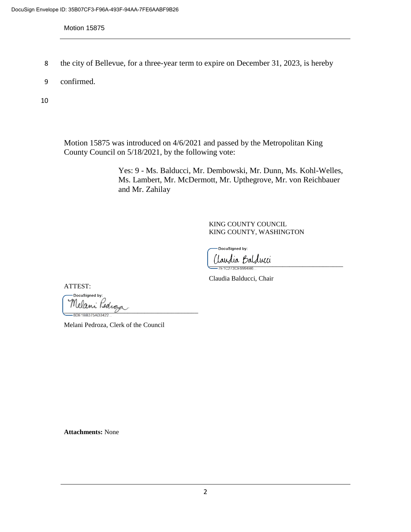Motion 15875

- 8 the city of Bellevue, for a three-year term to expire on December 31, 2023, is hereby
- 9 confirmed.

10

Motion 15875 was introduced on 4/6/2021 and passed by the Metropolitan King County Council on 5/18/2021, by the following vote:

> Yes: 9 - Ms. Balducci, Mr. Dembowski, Mr. Dunn, Ms. Kohl-Welles, Ms. Lambert, Mr. McDermott, Mr. Upthegrove, Mr. von Reichbauer and Mr. Zahilay

> > KING COUNTY COUNCIL KING COUNTY, WASHINGTON

DocuSigned by: taudia Balducci<br>-7E102730E9994B6

Claudia Balducci, Chair

ATTEST:

DocuSigned by: Melani Pedroza<br><sup>— 3DE1BB375AD3422</sup>

Melani Pedroza, Clerk of the Council

**Attachments:** None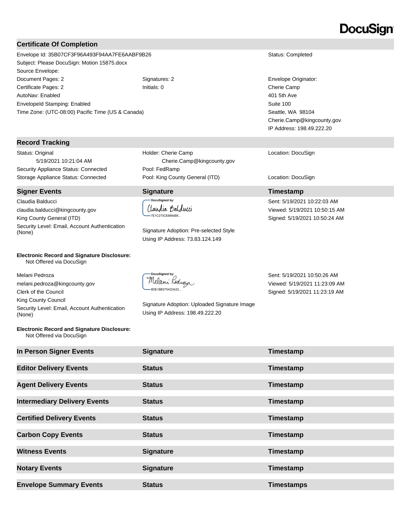# DocuSign

### **Certificate Of Completion**

Envelope Id: 35B07CF3F96A493F94AA7FE6AABF9B26 Status: Completed Subject: Please DocuSign: Motion 15875.docx Source Envelope: Document Pages: 2 Signatures: 2 Signatures: 2 Envelope Originator: Certificate Pages: 2 Initials: 0 Cherie Camp AutoNav: Enabled EnvelopeId Stamping: Enabled Time Zone: (UTC-08:00) Pacific Time (US & Canada)

#### **Record Tracking**

Status: Original 5/19/2021 10:21:04 AM Security Appliance Status: Connected Pool: FedRamp

#### **Signer Events Signature Timestamp**

Claudia Balducci claudia.balducci@kingcounty.gov King County General (ITD) Security Level: Email, Account Authentication<br>(None)

#### **Electronic Record and Signature Disclosure:**  Not Offered via DocuSign

Melani Pedroza melani.pedroza@kingcounty.gov Clerk of the Council King County Council Security Level: Email, Account Authentication (None)

#### **Electronic Record and Signature Disclosure:**  Not Offered via DocuSign

Holder: Cherie Camp Cherie.Camp@kingcounty.gov Storage Appliance Status: Connected Pool: King County General (ITD) Location: DocuSign

### **DocuSigned by:** (laudia Balducci -7E1C273CE9994B6..

Signature Adoption: Pre-selected Style Using IP Address: 73.83.124.149

DocuSianed by: Melani Pedroja 8DE1BB375AD3422...

Signature Adoption: Uploaded Signature Image Using IP Address: 198.49.222.20

401 5th Ave Suite 100 Seattle, WA 98104 Cherie.Camp@kingcounty.gov IP Address: 198.49.222.20

Location: DocuSign

Sent: 5/19/2021 10:22:03 AM Viewed: 5/19/2021 10:50:15 AM Signed: 5/19/2021 10:50:24 AM

Sent: 5/19/2021 10:50:26 AM Viewed: 5/19/2021 11:23:09 AM Signed: 5/19/2021 11:23:19 AM

| In Person Signer Events             | <b>Signature</b> | Timestamp         |
|-------------------------------------|------------------|-------------------|
| <b>Editor Delivery Events</b>       | <b>Status</b>    | Timestamp         |
| <b>Agent Delivery Events</b>        | <b>Status</b>    | Timestamp         |
| <b>Intermediary Delivery Events</b> | <b>Status</b>    | Timestamp         |
| <b>Certified Delivery Events</b>    | <b>Status</b>    | Timestamp         |
| <b>Carbon Copy Events</b>           | <b>Status</b>    | Timestamp         |
| <b>Witness Events</b>               | <b>Signature</b> | Timestamp         |
| <b>Notary Events</b>                | <b>Signature</b> | Timestamp         |
| <b>Envelope Summary Events</b>      | <b>Status</b>    | <b>Timestamps</b> |